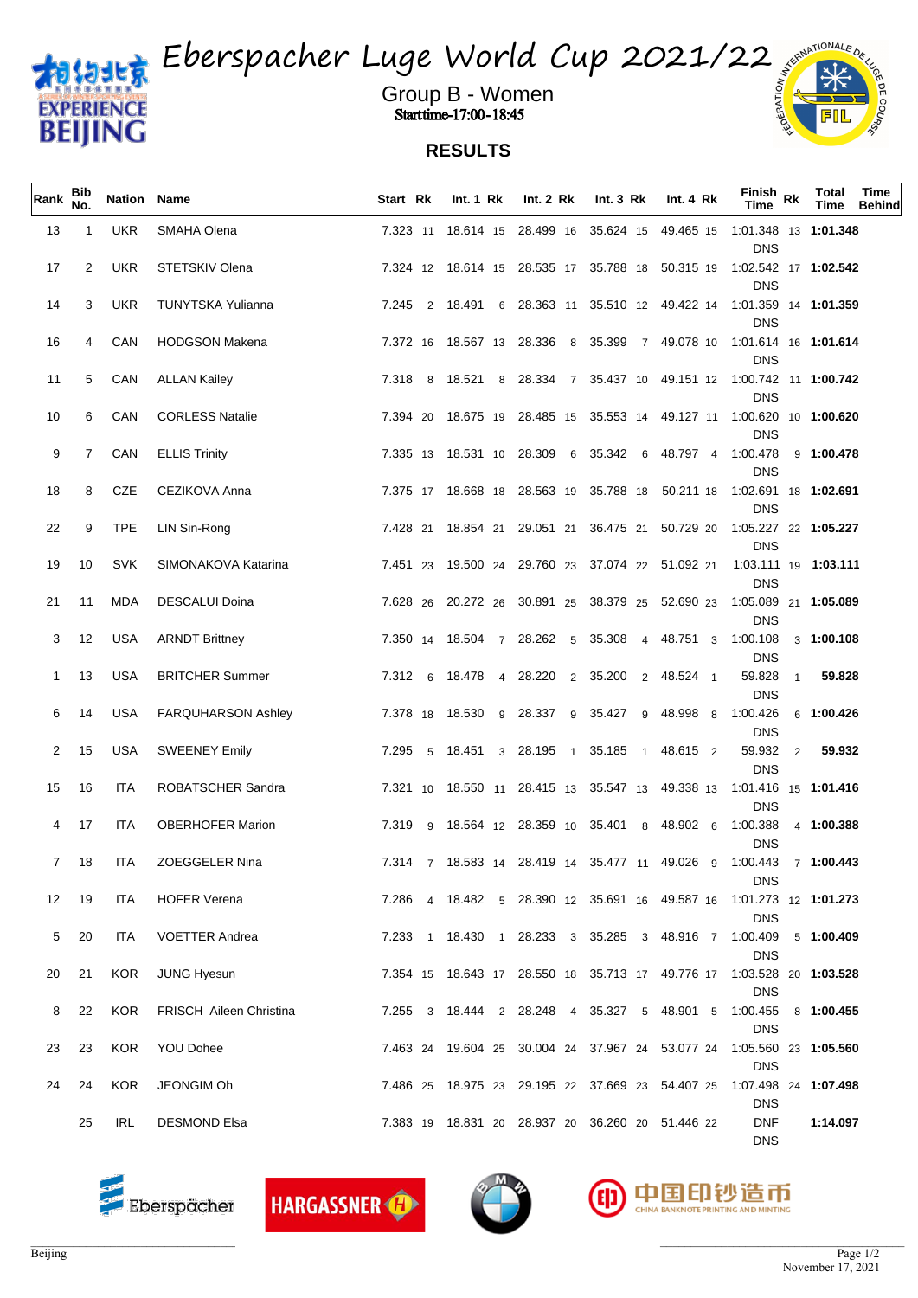

Eberspacher Luge World Cup 2021/22

Group B - Women when the set of  $\frac{2}{3}$  and  $\frac{2}{3}$  and  $\frac{2}{3}$ **Start time-17:00-18:45** 

## **RESULTS**

| Rank        | Bib<br>No.     | Nation Name       |                                                | Start Rk       | Int. 1 Rk | Int. $2 \, Rk$ | Int. $3 \, Rk$                                         | Int. $4 \, Rk$ | Finish <sub>Rk</sub><br>Time                                                                          | Total<br>Time | Time<br>Behind |
|-------------|----------------|-------------------|------------------------------------------------|----------------|-----------|----------------|--------------------------------------------------------|----------------|-------------------------------------------------------------------------------------------------------|---------------|----------------|
| 13          | -1             | <b>UKR</b>        | SMAHA Olena                                    |                |           |                | 7.323 11 18.614 15 28.499 16 35.624 15 49.465 15       |                | 1:01.348 13 1:01.348<br><b>DNS</b>                                                                    |               |                |
| 17          | $\overline{2}$ | UKR               | STETSKIV Olena                                 |                |           |                |                                                        |                | 7.324 12 18.614 15 28.535 17 35.788 18 50.315 19 1:02.542 17 1:02.542<br><b>DNS</b>                   |               |                |
| 14          | 3              | <b>UKR</b>        | TUNYTSKA Yulianna                              | 7.245 2 18.491 | 6         |                |                                                        |                | 28.363 11 35.510 12 49.422 14 1:01.359 14 1:01.359<br><b>DNS</b>                                      |               |                |
| 16          | 4              | CAN               | <b>HODGSON Makena</b>                          |                |           |                |                                                        |                | 7.372 16 18.567 13 28.336 8 35.399 7 49.078 10 1.01.614 16 1:01.614<br><b>DNS</b>                     |               |                |
| 11          | 5              | CAN               | <b>ALLAN Kailey</b>                            |                |           |                |                                                        |                | 7.318 8 18.521 8 28.334 7 35.437 10 49.151 12 1:00.742 11 1:00.742<br><b>DNS</b>                      |               |                |
| 10          | 6              | CAN               | <b>CORLESS Natalie</b>                         |                |           |                |                                                        |                | 7.394 20 18.675 19 28.485 15 35.553 14 49.127 11 1:00.620 10 1:00.620<br><b>DNS</b>                   |               |                |
| 9           | $\overline{7}$ | CAN               | <b>ELLIS Trinity</b>                           |                |           |                | 7.335 13 18.531 10 28.309 6 35.342 6 48.797 4 1:00.478 |                | <b>DNS</b>                                                                                            | 9 1:00.478    |                |
| 18          | 8              | CZE               | CEZIKOVA Anna                                  |                |           |                |                                                        |                | 7.375 17 18.668 18 28.563 19 35.788 18 50.211 18 1:02.691 18 1:02.691<br><b>DNS</b>                   |               |                |
| 22          | 9              | <b>TPE</b>        | LIN Sin-Rong                                   |                |           |                |                                                        |                | 7.428 21 18.854 21 29.051 21 36.475 21 50.729 20 1:05.227 22 1:05.227<br><b>DNS</b>                   |               |                |
| 19          | 10             | <b>SVK</b>        | SIMONAKOVA Katarina                            |                |           |                |                                                        |                | 7.451 23 19.500 24 29.760 23 37.074 22 51.092 21 1:03.111 19 1:03.111<br><b>DNS</b>                   |               |                |
| 21<br>3     | 11<br>12       | MDA<br><b>USA</b> | <b>DESCALUI Doina</b><br><b>ARNDT Brittney</b> |                |           |                | 7.350 14 18.504 7 28.262 5 35.308 4 48.751 3 1:00.108  |                | 7.628 26 20.272 26 30.891 25 38.379 25 52.690 23 1:05.089 21 1:05.089<br><b>DNS</b>                   | 3 1:00.108    |                |
| 1           | 13             | USA               | <b>BRITCHER Summer</b>                         |                |           |                | 7.312 6 18.478 4 28.220 2 35.200 2 48.524 1            |                | <b>DNS</b><br>59.828<br>$\mathbf{1}$                                                                  | 59.828        |                |
| 6           | 14             | USA               | <b>FARQUHARSON Ashley</b>                      |                |           |                | 7.378 18 18.530 9 28.337 9 35.427 9 48.998 8 1:00.426  |                | <b>DNS</b>                                                                                            | 6 1:00.426    |                |
| 2           | 15             | <b>USA</b>        | SWEENEY Emily                                  |                |           |                | 7.295 5 18.451 3 28.195 1 35.185 1 48.615 2            |                | <b>DNS</b><br>59.932 2                                                                                | 59.932        |                |
| 15          | 16             | ITA               | ROBATSCHER Sandra                              |                |           |                |                                                        |                | <b>DNS</b><br>7.321 10 18.550 11 28.415 13 35.547 13 49.338 13 1:01.416 15 <b>1:01.416</b>            |               |                |
| 4           | 17             | ITA               | <b>OBERHOFER Marion</b>                        |                |           |                | 7.319 9 18.564 12 28.359 10 35.401 8 48.902 6 1:00.388 |                | <b>DNS</b>                                                                                            | 4 1:00.388    |                |
| $7^{\circ}$ | 18             | ITA               | ZOEGGELER Nina                                 |                |           |                |                                                        |                | <b>DNS</b><br>7.314 7 18.583 14 28.419 14 35.477 11 49.026 9 1.00.443 7 <b>1:00.443</b>               |               |                |
| 12          | 19             | <b>ITA</b>        | <b>HOFER Verena</b>                            |                |           |                |                                                        |                | <b>DNS</b><br>7.286  4  18.482  5  28.390  12  35.691  16  49.587  16  1:01.273  12  1: <b>01.273</b> |               |                |
| 5           | 20             | ITA               | <b>VOETTER Andrea</b>                          |                |           |                |                                                        |                | <b>DNS</b><br>7.233 1 18.430 1 28.233 3 35.285 3 48.916 7 1:00.409 5 1:00.409                         |               |                |
| 20          | 21             |                   | KOR JUNG Hyesun                                |                |           |                |                                                        |                | <b>DNS</b><br>7.354 15 18.643 17 28.550 18 35.713 17 49.776 17 1.03.528 20 1:03.528                   |               |                |
| 8           | 22             | KOR               | <b>FRISCH Aileen Christina</b>                 |                |           |                | 7.255 3 18.444 2 28.248 4 35.327 5 48.901 5 1.00.455   |                | <b>DNS</b><br><b>DNS</b>                                                                              | 8 1:00.455    |                |
| 23          | 23             |                   | KOR YOU Dohee                                  |                |           |                |                                                        |                | 7.463 24 19.604 25 30.004 24 37.967 24 53.077 24 1:05.560 23 1:05.560<br><b>DNS</b>                   |               |                |
| 24          | 24             | KOR               | JEONGIM Oh                                     |                |           |                |                                                        |                | 7.486 25 18.975 23 29.195 22 37.669 23 54.407 25 1.07.498 24 1.07.498<br><b>DNS</b>                   |               |                |
|             | 25             | IRL               | <b>DESMOND Elsa</b>                            |                |           |                | 7.383 19 18.831 20 28.937 20 36.260 20 51.446 22       |                | <b>DNF</b><br><b>DNS</b>                                                                              | 1:14.097      |                |